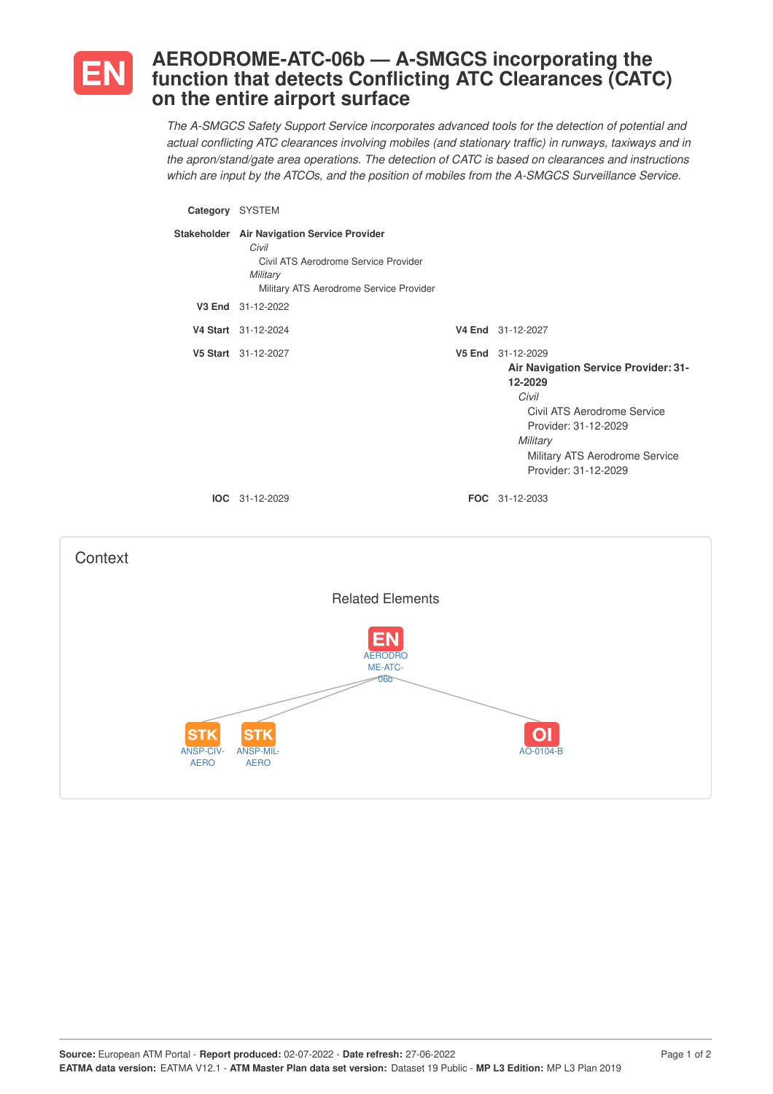

## **AERODROME-ATC-06b — A-SMGCS incorporating the function that detects Conflicting ATC Clearances (CATC) on the entire airport surface**

*The A-SMGCS Safety Support Service incorporates advanced tools for the detection of potential and actual conflicting ATC clearances involving mobiles (and stationary traffic) in runways, taxiways and in the apron/stand/gate area operations. The detection of CATC is based on clearances and instructions which are input by the ATCOs, and the position of mobiles from the A-SMGCS Surveillance Service.*